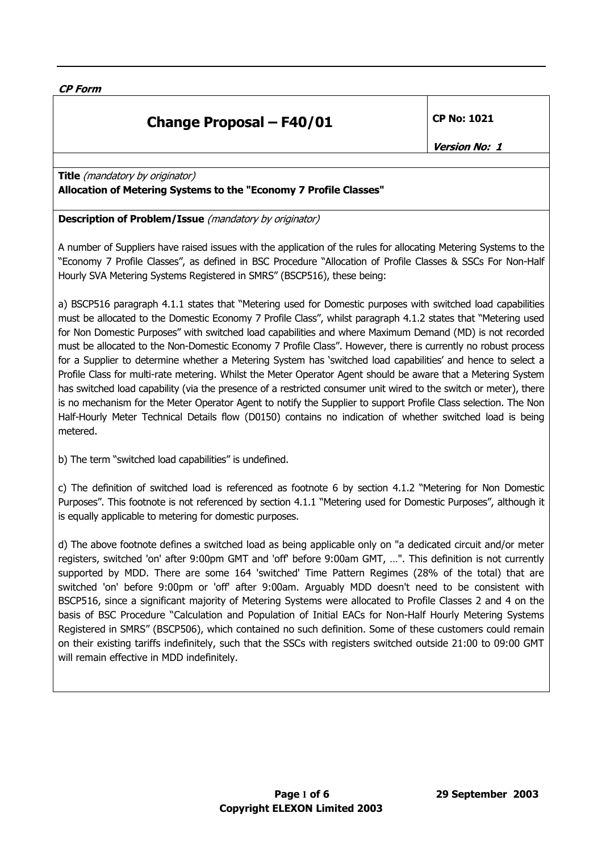**CP Form** 

# **Change Proposal – F40/01 CP No: 1021**

**Version No: 1** 

**Title** (mandatory by originator) **Allocation of Metering Systems to the "Economy 7 Profile Classes"**

#### **Description of Problem/Issue** (mandatory by originator)

A number of Suppliers have raised issues with the application of the rules for allocating Metering Systems to the "Economy 7 Profile Classes", as defined in BSC Procedure "Allocation of Profile Classes & SSCs For Non-Half Hourly SVA Metering Systems Registered in SMRS" (BSCP516), these being:

a) BSCP516 paragraph 4.1.1 states that "Metering used for Domestic purposes with switched load capabilities must be allocated to the Domestic Economy 7 Profile Class", whilst paragraph 4.1.2 states that "Metering used for Non Domestic Purposes" with switched load capabilities and where Maximum Demand (MD) is not recorded must be allocated to the Non-Domestic Economy 7 Profile Class". However, there is currently no robust process for a Supplier to determine whether a Metering System has 'switched load capabilities' and hence to select a Profile Class for multi-rate metering. Whilst the Meter Operator Agent should be aware that a Metering System has switched load capability (via the presence of a restricted consumer unit wired to the switch or meter), there is no mechanism for the Meter Operator Agent to notify the Supplier to support Profile Class selection. The Non Half-Hourly Meter Technical Details flow (D0150) contains no indication of whether switched load is being metered.

b) The term "switched load capabilities" is undefined.

c) The definition of switched load is referenced as footnote 6 by section 4.1.2 "Metering for Non Domestic Purposes". This footnote is not referenced by section 4.1.1 "Metering used for Domestic Purposes", although it is equally applicable to metering for domestic purposes.

d) The above footnote defines a switched load as being applicable only on "a dedicated circuit and/or meter registers, switched 'on' after 9:00pm GMT and 'off' before 9:00am GMT, …". This definition is not currently supported by MDD. There are some 164 'switched' Time Pattern Regimes (28% of the total) that are switched 'on' before 9:00pm or 'off' after 9:00am. Arguably MDD doesn't need to be consistent with BSCP516, since a significant majority of Metering Systems were allocated to Profile Classes 2 and 4 on the basis of BSC Procedure "Calculation and Population of Initial EACs for Non-Half Hourly Metering Systems Registered in SMRS" (BSCP506), which contained no such definition. Some of these customers could remain on their existing tariffs indefinitely, such that the SSCs with registers switched outside 21:00 to 09:00 GMT will remain effective in MDD indefinitely.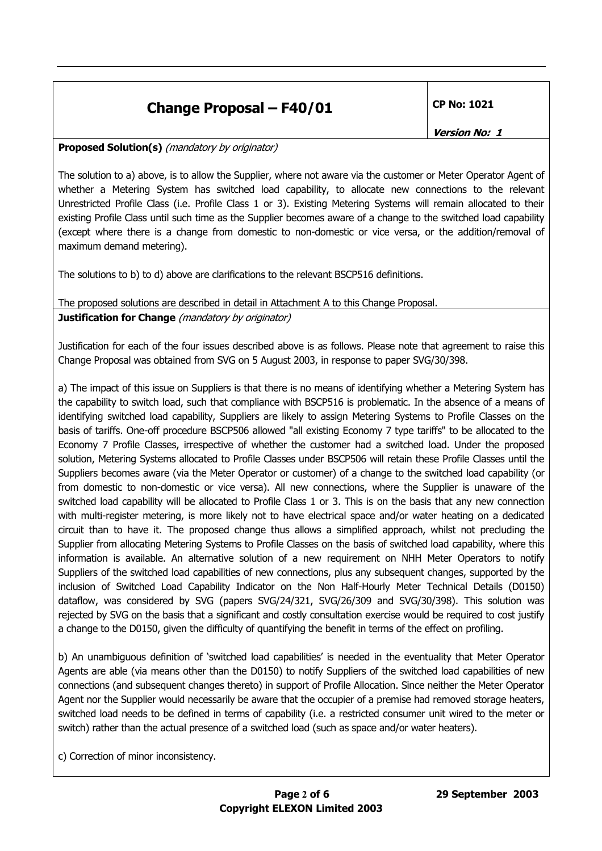## **Change Proposal – F40/01**  $\vert$  CP No: 1021

**Version No: 1** 

**Proposed Solution(s)** (mandatory by originator)

The solution to a) above, is to allow the Supplier, where not aware via the customer or Meter Operator Agent of whether a Metering System has switched load capability, to allocate new connections to the relevant Unrestricted Profile Class (i.e. Profile Class 1 or 3). Existing Metering Systems will remain allocated to their existing Profile Class until such time as the Supplier becomes aware of a change to the switched load capability (except where there is a change from domestic to non-domestic or vice versa, or the addition/removal of maximum demand metering).

The solutions to b) to d) above are clarifications to the relevant BSCP516 definitions.

The proposed solutions are described in detail in Attachment A to this Change Proposal. **Justification for Change** (mandatory by originator)

Justification for each of the four issues described above is as follows. Please note that agreement to raise this Change Proposal was obtained from SVG on 5 August 2003, in response to paper SVG/30/398.

a) The impact of this issue on Suppliers is that there is no means of identifying whether a Metering System has the capability to switch load, such that compliance with BSCP516 is problematic. In the absence of a means of identifying switched load capability, Suppliers are likely to assign Metering Systems to Profile Classes on the basis of tariffs. One-off procedure BSCP506 allowed "all existing Economy 7 type tariffs" to be allocated to the Economy 7 Profile Classes, irrespective of whether the customer had a switched load. Under the proposed solution, Metering Systems allocated to Profile Classes under BSCP506 will retain these Profile Classes until the Suppliers becomes aware (via the Meter Operator or customer) of a change to the switched load capability (or from domestic to non-domestic or vice versa). All new connections, where the Supplier is unaware of the switched load capability will be allocated to Profile Class 1 or 3. This is on the basis that any new connection with multi-register metering, is more likely not to have electrical space and/or water heating on a dedicated circuit than to have it. The proposed change thus allows a simplified approach, whilst not precluding the Supplier from allocating Metering Systems to Profile Classes on the basis of switched load capability, where this information is available. An alternative solution of a new requirement on NHH Meter Operators to notify Suppliers of the switched load capabilities of new connections, plus any subsequent changes, supported by the inclusion of Switched Load Capability Indicator on the Non Half-Hourly Meter Technical Details (D0150) dataflow, was considered by SVG (papers SVG/24/321, SVG/26/309 and SVG/30/398). This solution was rejected by SVG on the basis that a significant and costly consultation exercise would be required to cost justify a change to the D0150, given the difficulty of quantifying the benefit in terms of the effect on profiling.

b) An unambiguous definition of 'switched load capabilities' is needed in the eventuality that Meter Operator Agents are able (via means other than the D0150) to notify Suppliers of the switched load capabilities of new connections (and subsequent changes thereto) in support of Profile Allocation. Since neither the Meter Operator Agent nor the Supplier would necessarily be aware that the occupier of a premise had removed storage heaters, switched load needs to be defined in terms of capability (i.e. a restricted consumer unit wired to the meter or switch) rather than the actual presence of a switched load (such as space and/or water heaters).

c) Correction of minor inconsistency.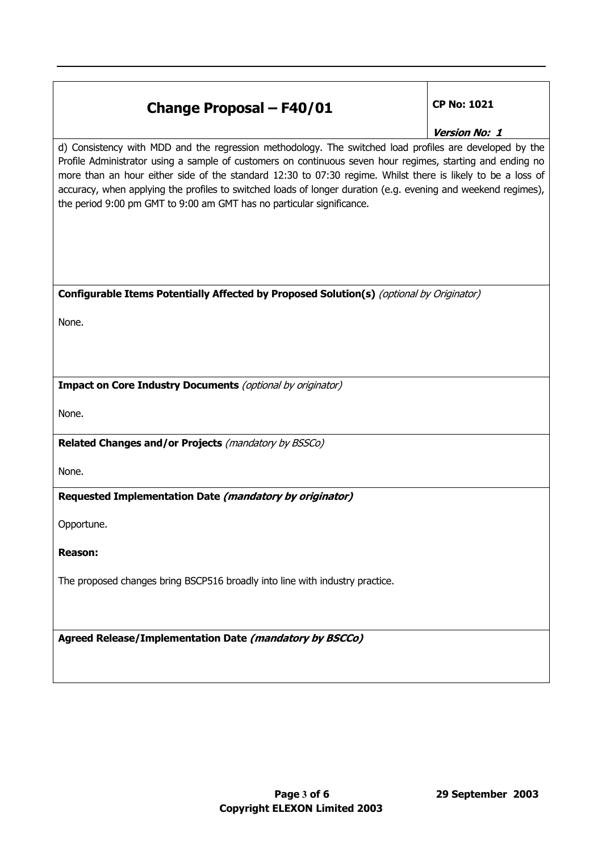## **Change Proposal – F40/01** CP No: 1021

**Version No: 1** 

d) Consistency with MDD and the regression methodology. The switched load profiles are developed by the Profile Administrator using a sample of customers on continuous seven hour regimes, starting and ending no more than an hour either side of the standard 12:30 to 07:30 regime. Whilst there is likely to be a loss of accuracy, when applying the profiles to switched loads of longer duration (e.g. evening and weekend regimes), the period 9:00 pm GMT to 9:00 am GMT has no particular significance.

#### **Configurable Items Potentially Affected by Proposed Solution(s)** (optional by Originator)

None.

**Impact on Core Industry Documents** (optional by originator)

None.

**Related Changes and/or Projects** (mandatory by BSSCo)

None.

**Requested Implementation Date (mandatory by originator)** 

Opportune.

**Reason:** 

The proposed changes bring BSCP516 broadly into line with industry practice.

**Agreed Release/Implementation Date (mandatory by BSCCo)**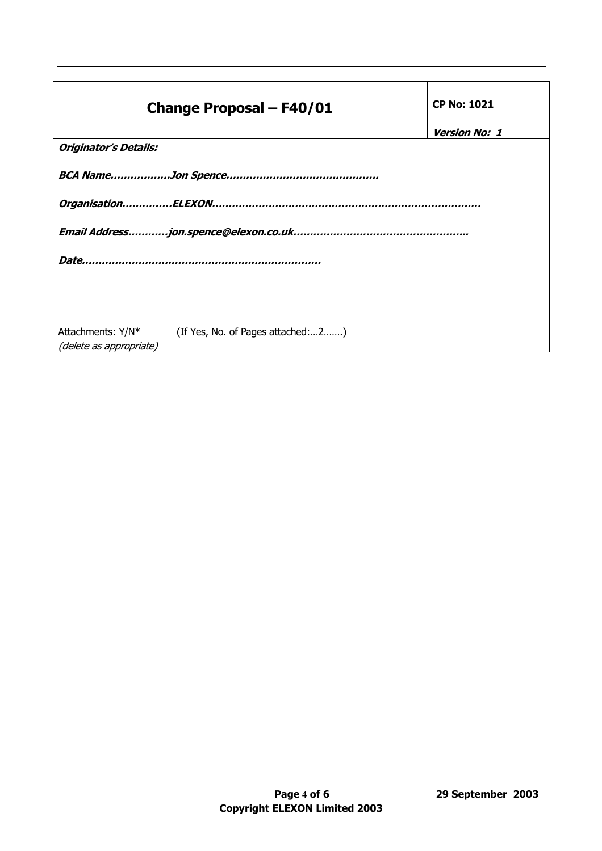|                         | <b>Change Proposal - F40/01</b>                                 | <b>CP No: 1021</b>   |  |
|-------------------------|-----------------------------------------------------------------|----------------------|--|
|                         |                                                                 | <b>Version No: 1</b> |  |
| Originator's Details:   |                                                                 |                      |  |
|                         |                                                                 |                      |  |
|                         |                                                                 |                      |  |
|                         |                                                                 |                      |  |
|                         |                                                                 |                      |  |
|                         |                                                                 |                      |  |
|                         |                                                                 |                      |  |
| (delete as appropriate) | Attachments: Y/N <sup>*</sup> (If Yes, No. of Pages attached:2) |                      |  |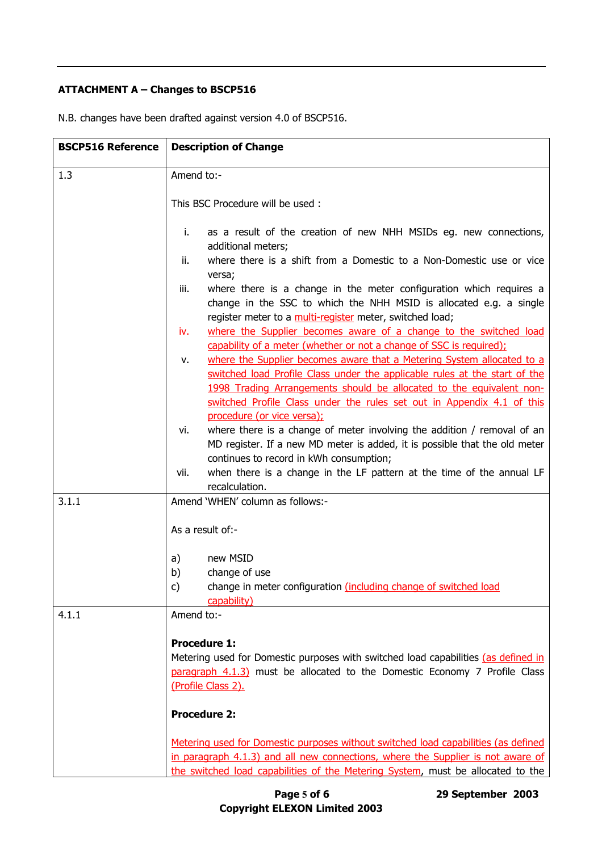### **ATTACHMENT A – Changes to BSCP516**

| <b>BSCP516 Reference</b> | <b>Description of Change</b>                                                                                                                                                                                                                                                                                 |  |
|--------------------------|--------------------------------------------------------------------------------------------------------------------------------------------------------------------------------------------------------------------------------------------------------------------------------------------------------------|--|
| 1.3                      | Amend to:-                                                                                                                                                                                                                                                                                                   |  |
|                          | This BSC Procedure will be used:                                                                                                                                                                                                                                                                             |  |
|                          | as a result of the creation of new NHH MSIDs eg. new connections,<br>i.<br>additional meters;<br>where there is a shift from a Domestic to a Non-Domestic use or vice<br>ii.                                                                                                                                 |  |
|                          | versa;<br>where there is a change in the meter configuration which requires a<br>iii.<br>change in the SSC to which the NHH MSID is allocated e.g. a single                                                                                                                                                  |  |
|                          | register meter to a multi-register meter, switched load;<br>where the Supplier becomes aware of a change to the switched load<br>iv.<br>capability of a meter (whether or not a change of SSC is required);                                                                                                  |  |
|                          | where the Supplier becomes aware that a Metering System allocated to a<br>v.<br>switched load Profile Class under the applicable rules at the start of the<br>1998 Trading Arrangements should be allocated to the equivalent non-<br>switched Profile Class under the rules set out in Appendix 4.1 of this |  |
|                          | procedure (or vice versa);<br>where there is a change of meter involving the addition / removal of an<br>vi.<br>MD register. If a new MD meter is added, it is possible that the old meter<br>continues to record in kWh consumption;                                                                        |  |
|                          | when there is a change in the LF pattern at the time of the annual LF<br>vii.<br>recalculation.                                                                                                                                                                                                              |  |
| 3.1.1                    | Amend 'WHEN' column as follows:-                                                                                                                                                                                                                                                                             |  |
|                          | As a result of:-                                                                                                                                                                                                                                                                                             |  |
|                          | a)<br>new MSID                                                                                                                                                                                                                                                                                               |  |
|                          | change of use<br>b)<br>c)<br>change in meter configuration (including change of switched load                                                                                                                                                                                                                |  |
|                          | capability)                                                                                                                                                                                                                                                                                                  |  |
| 4.1.1                    | Amend to:-                                                                                                                                                                                                                                                                                                   |  |
|                          | <b>Procedure 1:</b><br>Metering used for Domestic purposes with switched load capabilities (as defined in<br>paragraph 4.1.3) must be allocated to the Domestic Economy 7 Profile Class<br>(Profile Class 2).                                                                                                |  |
|                          | <b>Procedure 2:</b>                                                                                                                                                                                                                                                                                          |  |
|                          | Metering used for Domestic purposes without switched load capabilities (as defined<br>in paragraph 4.1.3) and all new connections, where the Supplier is not aware of<br>the switched load capabilities of the Metering System, must be allocated to the                                                     |  |

N.B. changes have been drafted against version 4.0 of BSCP516.